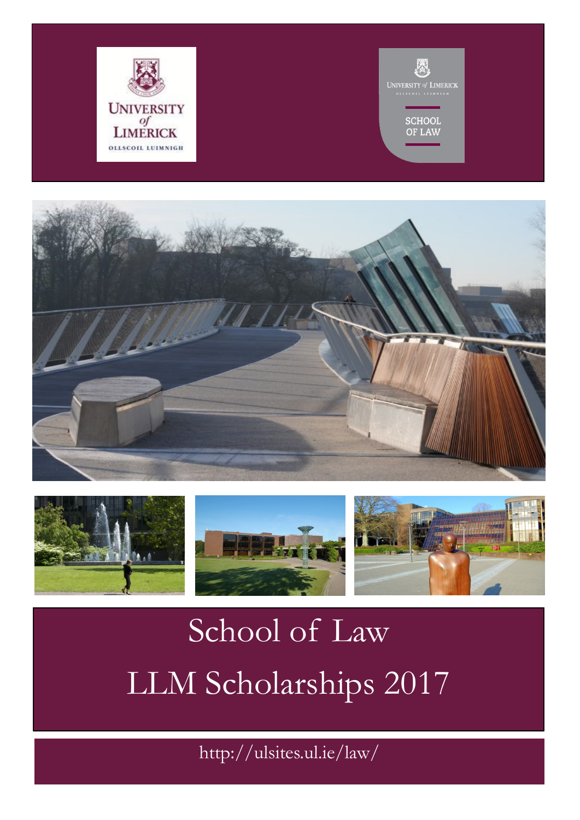





## School of Law LLM Scholarships 2017

http://ulsites.ul.ie/law/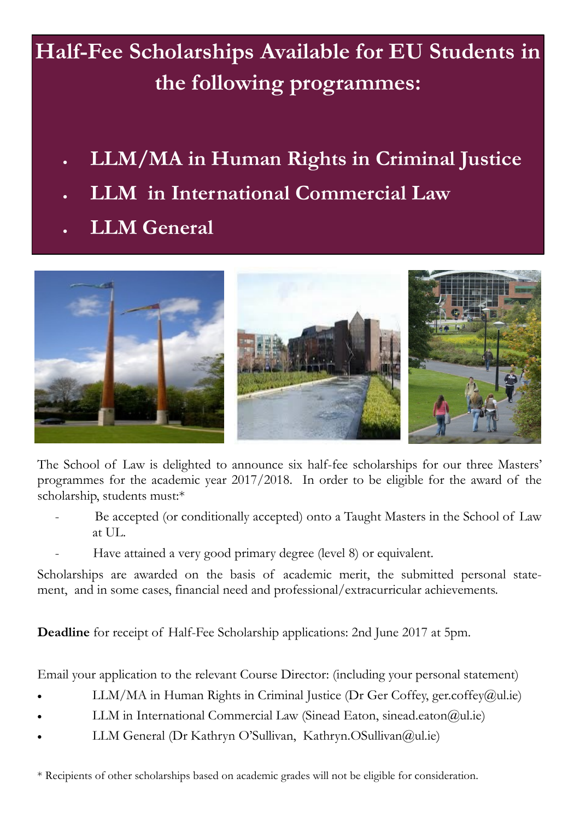## **Half-Fee Scholarships Available for EU Students in the following programmes:**

- **LLM/MA in Human Rights in Criminal Justice**
- **LLM in International Commercial Law**
- **LLM General**



The School of Law is delighted to announce six half-fee scholarships for our three Masters' programmes for the academic year 2017/2018. In order to be eligible for the award of the scholarship, students must:\*

- Be accepted (or conditionally accepted) onto a Taught Masters in the School of Law at UL.
- Have attained a very good primary degree (level 8) or equivalent.

Scholarships are awarded on the basis of academic merit, the submitted personal statement, and in some cases, financial need and professional/extracurricular achievements.

**Deadline** for receipt of Half-Fee Scholarship applications: 2nd June 2017 at 5pm.

Email your application to the relevant Course Director: (including your personal statement)

- LLM/MA in Human Rights in Criminal Justice (Dr Ger Coffey, ger.coffey@ul.ie)
- LLM in International Commercial Law (Sinead Eaton, sinead.eaton@ul.ie)
- LLM General (Dr Kathryn O'Sullivan, Kathryn.OSullivan@ul.ie)
- \* Recipients of other scholarships based on academic grades will not be eligible for consideration.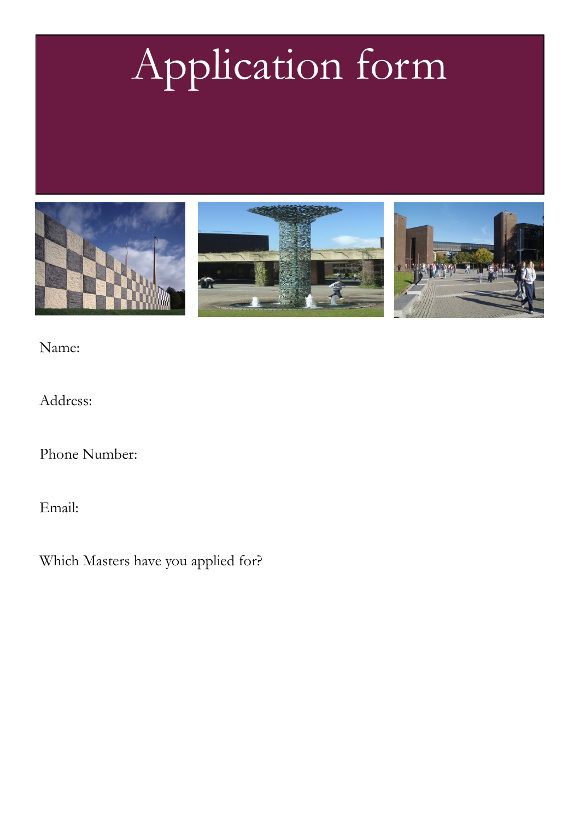## Application form







Name:

Address:

Phone Number:

Email:

Which Masters have you applied for?